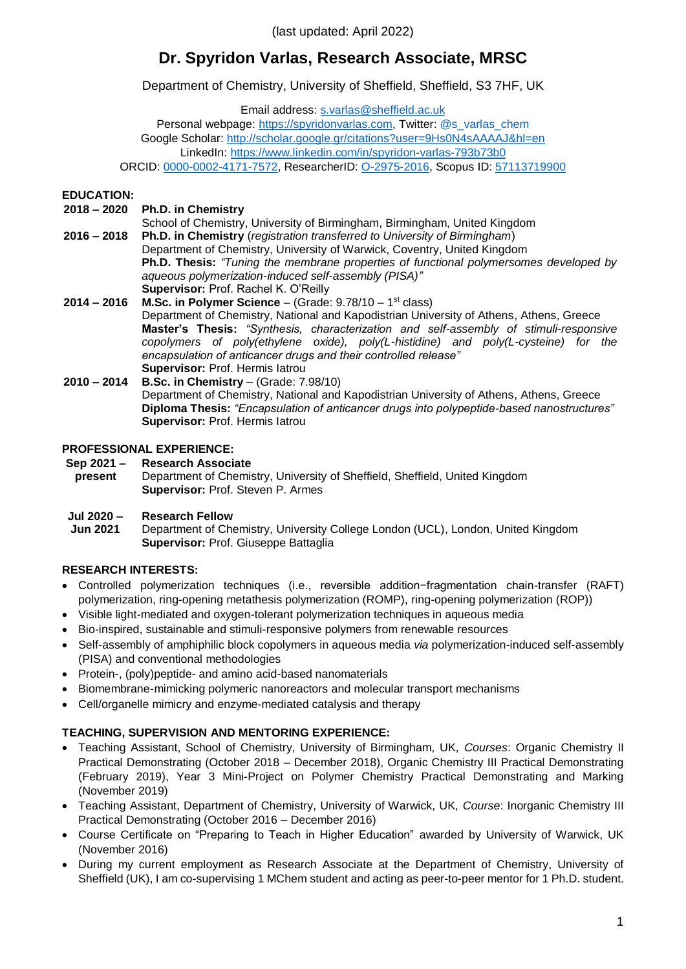(last updated: April 2022)

# **Dr. Spyridon Varlas, Research Associate, MRSC**

Department of Chemistry, University of Sheffield, Sheffield, S3 7HF, UK

Email address: [s.varlas@sheffield.ac.uk](mailto:s.varlas@sheffield.ac.uk)

Personal webpage: [https://spyridonvarlas.com,](https://spyridonvarlas.com/) Twitter: [@s\\_varlas\\_chem](https://twitter.com/s_varlas_chem) Google Scholar:<http://scholar.google.gr/citations?user=9Hs0N4sAAAAJ&hl=en> LinkedIn:<https://www.linkedin.com/in/spyridon-varlas-793b73b0> ORCID: [0000-0002-4171-7572,](http://orcid.org/0000-0002-4171-7572) ResearcherID: [O-2975-2016,](https://publons.com/researcher/2210186/spyridon-varlas/) Scopus ID: [57113719900](https://www.scopus.com/authid/detail.uri?authorId=57113719900)

#### **EDUCATION:**

- **2018 – 2020 Ph.D. in Chemistry**
- **2016 – 2018** School of Chemistry, University of Birmingham, Birmingham, United Kingdom **Ph.D. in Chemistry** (*registration transferred to University of Birmingham*) Department of Chemistry, University of Warwick, Coventry, United Kingdom **Ph.D. Thesis:** *"Tuning the membrane properties of functional polymersomes developed by aqueous polymerization-induced self-assembly (PISA)"* **Supervisor:** Prof. Rachel K. O'Reilly
- **2014 – 2016 M.Sc. in Polymer Science** (Grade: 9.78/10 1 st class) Department of Chemistry, National and Kapodistrian University of Athens, Athens, Greece **Master's Thesis:** *"Synthesis, characterization and self-assembly of stimuli-responsive copolymers of poly(ethylene oxide), poly(L-histidine) and poly(L-cysteine) for the encapsulation of anticancer drugs and their controlled release"* **Supervisor:** Prof. Hermis Iatrou
- **2010 – 2014 B.Sc. in Chemistry** (Grade: 7.98/10) Department of Chemistry, National and Kapodistrian University of Athens, Athens, Greece **Diploma Thesis:** *"Encapsulation of anticancer drugs into polypeptide-based nanostructures"* **Supervisor:** Prof. Hermis Iatrou

### **PROFESSIONAL EXPERIENCE:**

**Sep 2021 – present Research Associate** Department of Chemistry, University of Sheffield, Sheffield, United Kingdom **Supervisor:** Prof. Steven P. Armes

#### **Jul 2020 – Research Fellow**

**Jun 2021** Department of Chemistry, University College London (UCL), London, United Kingdom **Supervisor:** Prof. Giuseppe Battaglia

# **RESEARCH INTERESTS:**

- Controlled polymerization techniques (i.e., reversible addition−fragmentation chain-transfer (RAFT) polymerization, ring-opening metathesis polymerization (ROMP), ring-opening polymerization (ROP))
- Visible light-mediated and oxygen-tolerant polymerization techniques in aqueous media
- Bio-inspired, sustainable and stimuli-responsive polymers from renewable resources
- Self-assembly of amphiphilic block copolymers in aqueous media *via* polymerization-induced self-assembly (PISA) and conventional methodologies
- Protein-, (poly)peptide- and amino acid-based nanomaterials
- Biomembrane-mimicking polymeric nanoreactors and molecular transport mechanisms
- Cell/organelle mimicry and enzyme-mediated catalysis and therapy

# **TEACHING, SUPERVISION AND MENTORING EXPERIENCE:**

- Teaching Assistant, School of Chemistry, University of Birmingham, UK, *Courses*: Organic Chemistry II Practical Demonstrating (October 2018 – December 2018), Organic Chemistry III Practical Demonstrating (February 2019), Year 3 Mini-Project on Polymer Chemistry Practical Demonstrating and Marking (November 2019)
- Teaching Assistant, Department of Chemistry, University of Warwick, UK, *Course*: Inorganic Chemistry III Practical Demonstrating (October 2016 – December 2016)
- Course Certificate on "Preparing to Teach in Higher Education" awarded by University of Warwick, UK (November 2016)
- During my current employment as Research Associate at the Department of Chemistry, University of Sheffield (UK), I am co-supervising 1 MChem student and acting as peer-to-peer mentor for 1 Ph.D. student.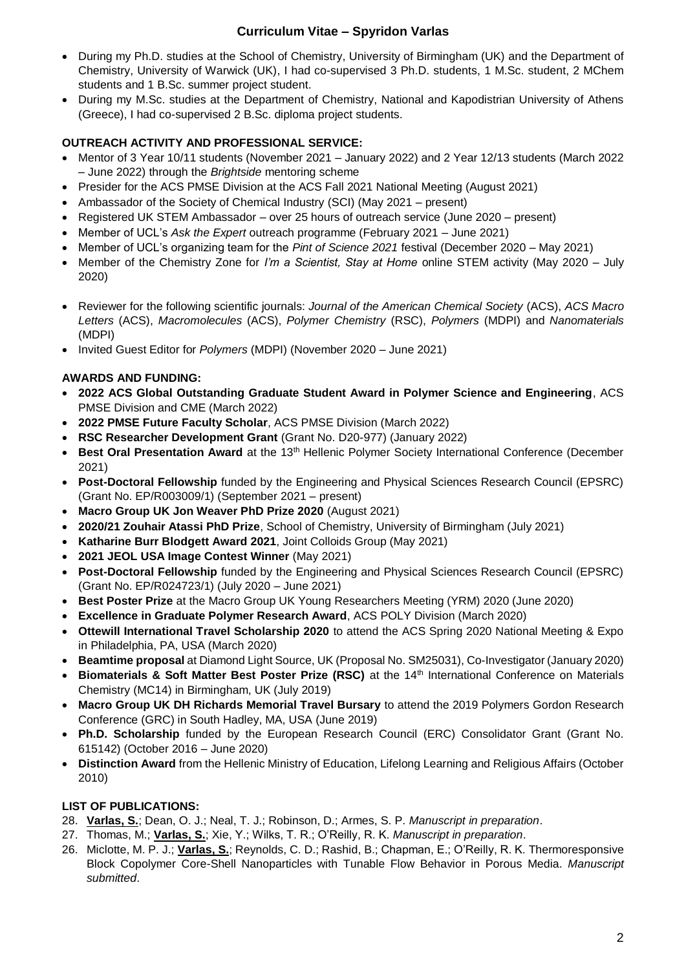- During my Ph.D. studies at the School of Chemistry, University of Birmingham (UK) and the Department of Chemistry, University of Warwick (UK), I had co-supervised 3 Ph.D. students, 1 M.Sc. student, 2 MChem students and 1 B.Sc. summer project student.
- During my M.Sc. studies at the Department of Chemistry, National and Kapodistrian University of Athens (Greece), I had co-supervised 2 B.Sc. diploma project students.

### **OUTREACH ACTIVITY AND PROFESSIONAL SERVICE:**

- Mentor of 3 Year 10/11 students (November 2021 January 2022) and 2 Year 12/13 students (March 2022 – June 2022) through the *Brightside* mentoring scheme
- Presider for the ACS PMSE Division at the ACS Fall 2021 National Meeting (August 2021)
- Ambassador of the Society of Chemical Industry (SCI) (May 2021 present)
- Registered UK STEM Ambassador over 25 hours of outreach service (June 2020 present)
- Member of UCL's *Ask the Expert* outreach programme (February 2021 June 2021)
- Member of UCL's organizing team for the *Pint of Science 2021* festival (December 2020 May 2021)
- Member of the Chemistry Zone for *I'm a Scientist, Stay at Home* online STEM activity (May 2020 July 2020)
- Reviewer for the following scientific journals: *Journal of the American Chemical Society* (ACS), *ACS Macro Letters* (ACS), *Macromolecules* (ACS), *Polymer Chemistry* (RSC), *Polymers* (MDPI) and *Nanomaterials* (MDPI)
- Invited Guest Editor for *Polymers* (MDPI) (November 2020 June 2021)

### **AWARDS AND FUNDING:**

- **2022 ACS Global Outstanding Graduate Student Award in Polymer Science and Engineering**, ACS PMSE Division and CME (March 2022)
- **2022 PMSE Future Faculty Scholar**, ACS PMSE Division (March 2022)
- **RSC Researcher Development Grant** (Grant No. D20-977) (January 2022)
- **Best Oral Presentation Award** at the 13<sup>th</sup> Hellenic Polymer Society International Conference (December 2021)
- **Post-Doctoral Fellowship** funded by the Engineering and Physical Sciences Research Council (EPSRC) (Grant No. EP/R003009/1) (September 2021 – present)
- **Macro Group UK Jon Weaver PhD Prize 2020** (August 2021)
- **2020/21 Zouhair Atassi PhD Prize**, School of Chemistry, University of Birmingham (July 2021)
- **Katharine Burr Blodgett Award 2021**, Joint Colloids Group (May 2021)
- **2021 JEOL USA Image Contest Winner** (May 2021)
- **Post-Doctoral Fellowship** funded by the Engineering and Physical Sciences Research Council (EPSRC) (Grant No. EP/R024723/1) (July 2020 – June 2021)
- **Best Poster Prize** at the Macro Group UK Young Researchers Meeting (YRM) 2020 (June 2020)
- **Excellence in Graduate Polymer Research Award**, ACS POLY Division (March 2020)
- **Ottewill International Travel Scholarship 2020** to attend the ACS Spring 2020 National Meeting & Expo in Philadelphia, PA, USA (March 2020)
- **Beamtime proposal** at Diamond Light Source, UK (Proposal No. SM25031), Co-Investigator (January 2020)
- **Biomaterials & Soft Matter Best Poster Prize (RSC)** at the 14th International Conference on Materials Chemistry (MC14) in Birmingham, UK (July 2019)
- **Macro Group UK DH Richards Memorial Travel Bursary** to attend the 2019 Polymers Gordon Research Conference (GRC) in South Hadley, MA, USA (June 2019)
- **Ph.D. Scholarship** funded by the European Research Council (ERC) Consolidator Grant (Grant No. 615142) (October 2016 – June 2020)
- **Distinction Award** from the Hellenic Ministry of Education, Lifelong Learning and Religious Affairs (October 2010)

#### **LIST OF PUBLICATIONS:**

- 28. **Varlas, S.**; Dean, O. J.; Neal, T. J.; Robinson, D.; Armes, S. P. *Manuscript in preparation*.
- 27. Thomas, M.; **Varlas, S.**; Xie, Y.; Wilks, T. R.; O'Reilly, R. K. *Manuscript in preparation*.
- 26. Miclotte, M. P. J.; **Varlas, S.**; Reynolds, C. D.; Rashid, B.; Chapman, E.; O'Reilly, R. K. Thermoresponsive Block Copolymer Core-Shell Nanoparticles with Tunable Flow Behavior in Porous Media. *Manuscript submitted*.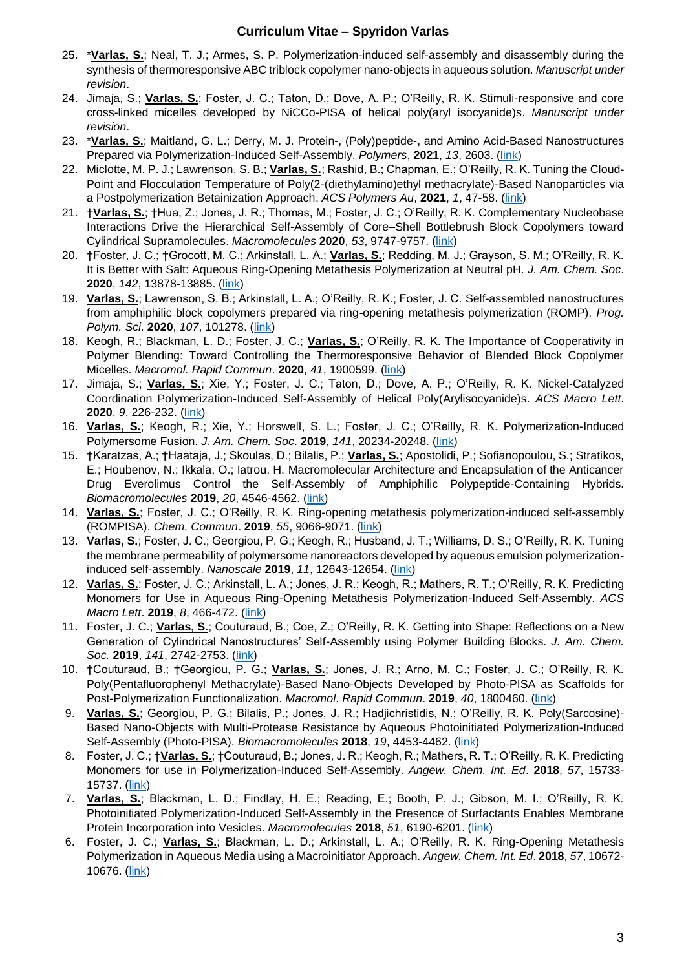- 25. \***Varlas, S.**; Neal, T. J.; Armes, S. P. Polymerization-induced self-assembly and disassembly during the synthesis of thermoresponsive ABC triblock copolymer nano-objects in aqueous solution. *Manuscript under revision*.
- 24. Jimaja, S.; **Varlas, S.**; Foster, J. C.; Taton, D.; Dove, A. P.; O'Reilly, R. K. Stimuli-responsive and core cross-linked micelles developed by NiCCo-PISA of helical poly(aryl isocyanide)s. *Manuscript under revision*.
- 23. \***Varlas, S.**; Maitland, G. L.; Derry, M. J. Protein-, (Poly)peptide-, and Amino Acid-Based Nanostructures Prepared via Polymerization-Induced Self-Assembly. *Polymers*, **2021**, *13*, 2603. [\(link\)](https://www.mdpi.com/2073-4360/13/16/2603)
- 22. Miclotte, M. P. J.; Lawrenson, S. B.; **Varlas, S.**; Rashid, B.; Chapman, E.; O'Reilly, R. K. Tuning the Cloud-Point and Flocculation Temperature of Poly(2-(diethylamino)ethyl methacrylate)-Based Nanoparticles via a Postpolymerization Betainization Approach. *ACS Polymers Au*, **2021**, *1*, 47-58. [\(link\)](https://pubs.acs.org/doi/abs/10.1021/acspolymersau.1c00010)
- 21. †**Varlas, S.**; †Hua, Z.; Jones, J. R.; Thomas, M.; Foster, J. C.; O'Reilly, R. K. Complementary Nucleobase Interactions Drive the Hierarchical Self-Assembly of Core–Shell Bottlebrush Block Copolymers toward Cylindrical Supramolecules. *Macromolecules* **2020**, *53*, 9747-9757. [\(link\)](https://pubs.acs.org/doi/abs/10.1021/acs.macromol.0c01857)
- 20. †Foster, J. C.; †Grocott, M. C.; Arkinstall, L. A.; **Varlas, S.**; Redding, M. J.; Grayson, S. M.; O'Reilly, R. K. It is Better with Salt: Aqueous Ring-Opening Metathesis Polymerization at Neutral pH. *J. Am. Chem. Soc*. **2020**, *142*, 13878-13885. [\(link\)](https://pubs.acs.org/doi/abs/10.1021/jacs.0c05499)
- 19. **Varlas, S.**; Lawrenson, S. B.; Arkinstall, L. A.; O'Reilly, R. K.; Foster, J. C. Self-assembled nanostructures from amphiphilic block copolymers prepared via ring-opening metathesis polymerization (ROMP). *Prog. Polym. Sci*. **2020**, *107*, 101278. [\(link\)](https://www.sciencedirect.com/science/article/pii/S007967002030071X)
- 18. Keogh, R.; Blackman, L. D.; Foster, J. C.; **Varlas, S.**; O'Reilly, R. K. The Importance of Cooperativity in Polymer Blending: Toward Controlling the Thermoresponsive Behavior of Blended Block Copolymer Micelles. *Macromol. Rapid Commun*. **2020**, *41*, 1900599. [\(link\)](https://onlinelibrary.wiley.com/doi/full/10.1002/marc.201900599)
- 17. Jimaja, S.; **Varlas, S.**; Xie, Y.; Foster, J. C.; Taton, D.; Dove, A. P.; O'Reilly, R. K. Nickel-Catalyzed Coordination Polymerization-Induced Self-Assembly of Helical Poly(Arylisocyanide)s. *ACS Macro Lett*. **2020**, *9*, 226-232. [\(link\)](https://pubs.acs.org/doi/10.1021/acsmacrolett.9b00972)
- 16. **Varlas, S.**; Keogh, R.; Xie, Y.; Horswell, S. L.; Foster, J. C.; O'Reilly, R. K. Polymerization-Induced Polymersome Fusion. *J. Am. Chem. Soc*. **2019**, *141*, 20234-20248. [\(link\)](https://pubs.acs.org/doi/abs/10.1021/jacs.9b10152)
- 15. †Karatzas, A.; †Haataja, J.; Skoulas, D.; Bilalis, P.; **Varlas, S.**; Apostolidi, P.; Sofianopoulou, S.; Stratikos, E.; Houbenov, N.; Ikkala, O.; Iatrou. H. Macromolecular Architecture and Encapsulation of the Anticancer Drug Everolimus Control the Self-Assembly of Amphiphilic Polypeptide-Containing Hybrids. *Biomacromolecules* **2019**, *20*, 4546-4562. [\(link\)](https://pubs.acs.org/doi/pdf/10.1021/acs.biomac.9b01331)
- 14. **Varlas, S.**; Foster, J. C.; O'Reilly, R. K. Ring-opening metathesis polymerization-induced self-assembly (ROMPISA). *Chem. Commun*. **2019**, *55*, 9066-9071. [\(link\)](https://pubs.rsc.org/en/content/articlelanding/2019/cc/c9cc04445k#!divAbstract)
- 13. **Varlas, S.**; Foster, J. C.; Georgiou, P. G.; Keogh, R.; Husband, J. T.; Williams, D. S.; O'Reilly, R. K. Tuning the membrane permeability of polymersome nanoreactors developed by aqueous emulsion polymerizationinduced self-assembly. *Nanoscale* **2019**, *11*, 12643-12654. [\(link\)](https://pubs.rsc.org/en/Content/ArticleLanding/2019/NR/C9NR02507C#!divAbstract)
- 12. **Varlas, S.**; Foster, J. C.; Arkinstall, L. A.; Jones, J. R.; Keogh, R.; Mathers, R. T.; O'Reilly, R. K. Predicting Monomers for Use in Aqueous Ring-Opening Metathesis Polymerization-Induced Self-Assembly. *ACS Macro Lett*. **2019**, *8*, 466-472. [\(link\)](https://pubs.acs.org/doi/10.1021/acsmacrolett.9b00117)
- 11. Foster, J. C.; **Varlas, S.**; Couturaud, B.; Coe, Z.; O'Reilly, R. K. Getting into Shape: Reflections on a New Generation of Cylindrical Nanostructures' Self-Assembly using Polymer Building Blocks. *J. Am. Chem. Soc.* **2019**, *141*, 2742-2753. [\(link\)](https://pubs.acs.org/doi/10.1021/jacs.8b08648)
- 10. †Couturaud, B.; †Georgiou, P. G.; **Varlas, S.**; Jones, J. R.; Arno, M. C.; Foster, J. C.; O'Reilly, R. K. Poly(Pentafluorophenyl Methacrylate)‐Based Nano‐Objects Developed by Photo‐PISA as Scaffolds for Post‐Polymerization Functionalization. *Macromol*. *Rapid Commun*. **2019**, *40*, 1800460. [\(link\)](https://onlinelibrary.wiley.com/doi/abs/10.1002/marc.201800460)
- 9. **Varlas, S.**; Georgiou, P. G.; Bilalis, P.; Jones, J. R.; Hadjichristidis, N.; O'Reilly, R. K. Poly(Sarcosine)- Based Nano-Objects with Multi-Protease Resistance by Aqueous Photoinitiated Polymerization-Induced Self-Assembly (Photo-PISA). *Biomacromolecules* **2018**, *19*, 4453-4462. [\(link\)](https://pubs.acs.org/doi/10.1021/acs.biomac.8b01326)
- 8. Foster, J. C.; †**Varlas, S.**; †Couturaud, B.; Jones, J. R.; Keogh, R.; Mathers, R. T.; O'Reilly, R. K. Predicting Monomers for use in Polymerization-Induced Self-Assembly. *Angew. Chem. Int. Ed*. **2018**, *57*, 15733- 15737. [\(link\)](https://onlinelibrary.wiley.com/doi/abs/10.1002/anie.201809614)
- 7. **Varlas, S.**; Blackman, L. D.; Findlay, H. E.; Reading, E.; Booth, P. J.; Gibson, M. I.; O'Reilly, R. K. Photoinitiated Polymerization-Induced Self-Assembly in the Presence of Surfactants Enables Membrane Protein Incorporation into Vesicles. *Macromolecules* **2018**, *51*, 6190-6201. [\(link\)](https://pubs.acs.org/doi/10.1021/acs.macromol.8b00994)
- 6. Foster, J. C.; **Varlas, S.**; Blackman, L. D.; Arkinstall, L. A.; O'Reilly, R. K. Ring‐Opening Metathesis Polymerization in Aqueous Media using a Macroinitiator Approach. *Angew. Chem. Int. Ed*. **2018**, *57*, 10672- 10676. [\(link\)](https://onlinelibrary.wiley.com/doi/abs/10.1002/anie.201806719)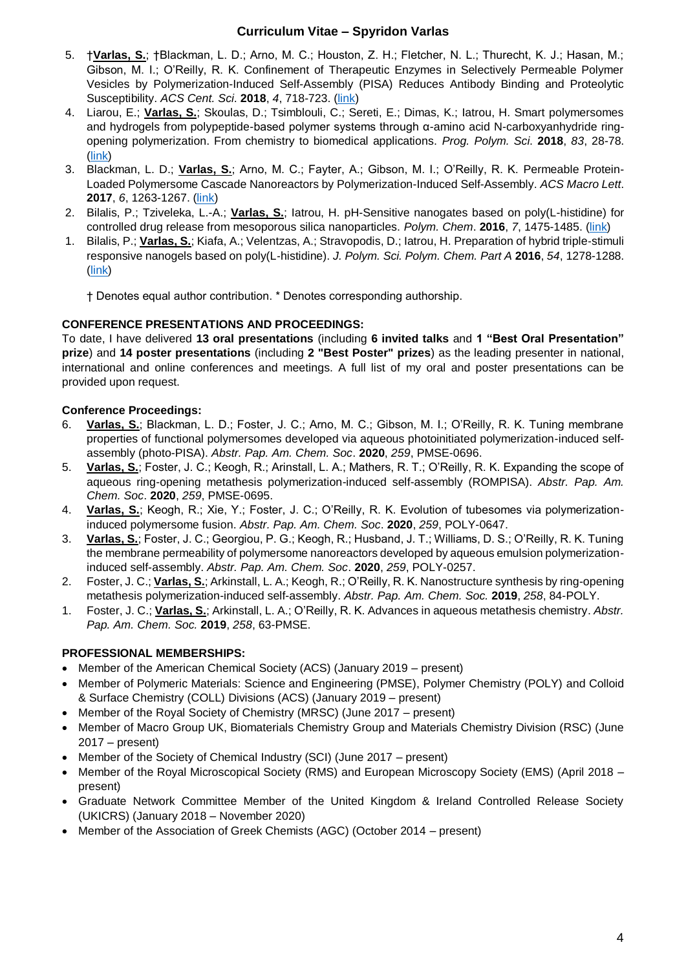- 5. †**Varlas, S.**; †Blackman, L. D.; Arno, M. C.; Houston, Z. H.; Fletcher, N. L.; Thurecht, K. J.; Hasan, M.; Gibson, M. I.; O'Reilly, R. K. Confinement of Therapeutic Enzymes in Selectively Permeable Polymer Vesicles by Polymerization-Induced Self-Assembly (PISA) Reduces Antibody Binding and Proteolytic Susceptibility. *ACS Cent. Sci*. **2018**, *4*, 718-723. [\(link\)](https://pubs.acs.org/doi/abs/10.1021/acscentsci.8b00168)
- 4. Liarou, E.; **Varlas, S.**; Skoulas, D.; Tsimblouli, C.; Sereti, E.; Dimas, K.; Iatrou, H. Smart polymersomes and hydrogels from polypeptide-based polymer systems through α-amino acid N-carboxyanhydride ringopening polymerization. From chemistry to biomedical applications. *Prog. Polym. Sci*. **2018**, *83*, 28-78. [\(link\)](https://www.sciencedirect.com/science/article/pii/S0079670017300588)
- 3. Blackman, L. D.; **Varlas, S.**; Arno, M. C.; Fayter, A.; Gibson, M. I.; O'Reilly, R. K. Permeable Protein-Loaded Polymersome Cascade Nanoreactors by Polymerization-Induced Self-Assembly. *ACS Macro Lett*. **2017**, *6*, 1263-1267. [\(link\)](https://pubs.acs.org/doi/abs/10.1021/acsmacrolett.7b00725)
- 2. Bilalis, P.; Tziveleka, L.-A.; **Varlas, S.**; Iatrou, H. pH-Sensitive nanogates based on poly(L-histidine) for controlled drug release from mesoporous silica nanoparticles. *Polym. Chem*. **2016**, *7*, 1475-1485. [\(link\)](http://pubs.rsc.org/en/content/articlelanding/2016/py/c5py01841b#!divAbstract)
- 1. Bilalis, P.; **Varlas, S.**; Kiafa, A.; Velentzas, A.; Stravopodis, D.; Iatrou, H. Preparation of hybrid triple‐stimuli responsive nanogels based on poly(L‐histidine). *J. Polym. Sci. Polym. Chem. Part A* **2016**, *54*, 1278-1288. [\(link\)](https://onlinelibrary.wiley.com/doi/full/10.1002/pola.27971)

† Denotes equal author contribution. \* Denotes corresponding authorship.

#### **CONFERENCE PRESENTATIONS AND PROCEEDINGS:**

To date, I have delivered **13 oral presentations** (including **6 invited talks** and **1 "Best Oral Presentation" prize**) and **14 poster presentations** (including **2 "Best Poster" prizes**) as the leading presenter in national, international and online conferences and meetings. A full list of my oral and poster presentations can be provided upon request.

### **Conference Proceedings:**

- 6. **Varlas, S.**; Blackman, L. D.; Foster, J. C.; Arno, M. C.; Gibson, M. I.; O'Reilly, R. K. Tuning membrane properties of functional polymersomes developed via aqueous photoinitiated polymerization-induced selfassembly (photo-PISA). *Abstr. Pap. Am. Chem. Soc*. **2020**, *259*, PMSE-0696.
- 5. **Varlas, S.**; Foster, J. C.; Keogh, R.; Arinstall, L. A.; Mathers, R. T.; O'Reilly, R. K. Expanding the scope of aqueous ring-opening metathesis polymerization-induced self-assembly (ROMPISA). *Abstr. Pap. Am. Chem. Soc*. **2020**, *259*, PMSE-0695.
- 4. **Varlas, S.**; Keogh, R.; Xie, Y.; Foster, J. C.; O'Reilly, R. K. Evolution of tubesomes via polymerizationinduced polymersome fusion. *Abstr. Pap. Am. Chem. Soc*. **2020**, *259*, POLY-0647.
- 3. **Varlas, S.**; Foster, J. C.; Georgiou, P. G.; Keogh, R.; Husband, J. T.; Williams, D. S.; O'Reilly, R. K. Tuning the membrane permeability of polymersome nanoreactors developed by aqueous emulsion polymerizationinduced self-assembly. *Abstr. Pap. Am. Chem. Soc*. **2020**, *259*, POLY-0257.
- 2. Foster, J. C.; **Varlas, S.**; Arkinstall, L. A.; Keogh, R.; O'Reilly, R. K. Nanostructure synthesis by ring-opening metathesis polymerization-induced self-assembly. *Abstr. Pap. Am. Chem. Soc.* **2019**, *258*, 84-POLY.
- 1. Foster, J. C.; **Varlas, S.**; Arkinstall, L. A.; O'Reilly, R. K. Advances in aqueous metathesis chemistry. *Abstr. Pap. Am. Chem. Soc.* **2019**, *258*, 63-PMSE.

#### **PROFESSIONAL MEMBERSHIPS:**

- Member of the American Chemical Society (ACS) (January 2019 present)
- Member of Polymeric Materials: Science and Engineering (PMSE), Polymer Chemistry (POLY) and Colloid & Surface Chemistry (COLL) Divisions (ACS) (January 2019 – present)
- Member of the Royal Society of Chemistry (MRSC) (June 2017 present)
- Member of Macro Group UK, Biomaterials Chemistry Group and Materials Chemistry Division (RSC) (June 2017 – present)
- Member of the Society of Chemical Industry (SCI) (June 2017 present)
- Member of the Royal Microscopical Society (RMS) and European Microscopy Society (EMS) (April 2018 present)
- Graduate Network Committee Member of the United Kingdom & Ireland Controlled Release Society (UKICRS) (January 2018 – November 2020)
- Member of the Association of Greek Chemists (AGC) (October 2014 present)